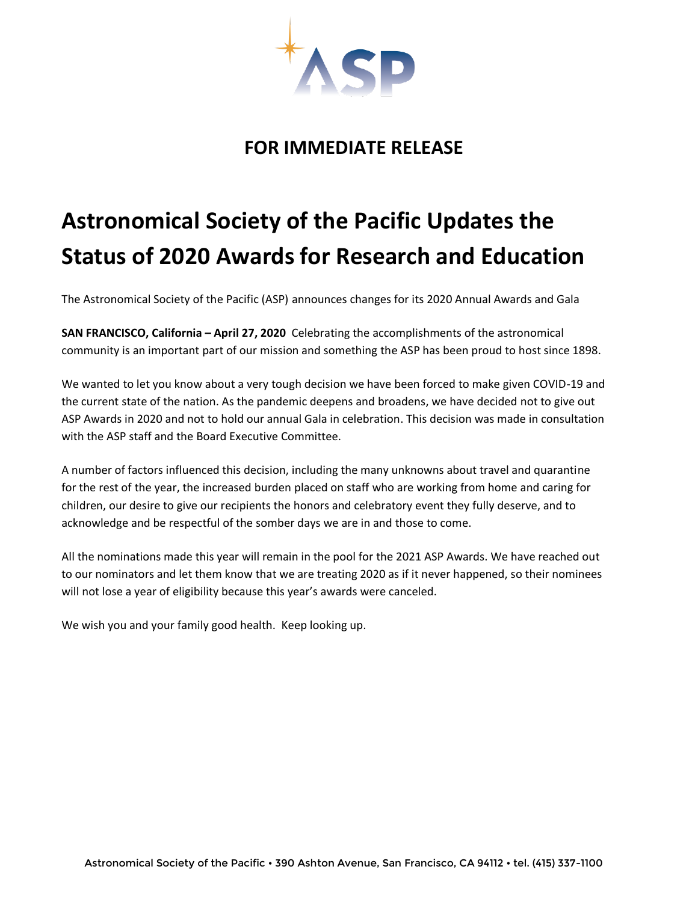

## **FOR IMMEDIATE RELEASE**

## **Astronomical Society of the Pacific Updates the Status of 2020 Awards for Research and Education**

The Astronomical Society of the Pacific (ASP) announces changes for its 2020 Annual Awards and Gala

**SAN FRANCISCO, California – April 27, 2020** Celebrating the accomplishments of the astronomical community is an important part of our mission and something the ASP has been proud to host since 1898.

We wanted to let you know about a very tough decision we have been forced to make given COVID-19 and the current state of the nation. As the pandemic deepens and broadens, we have decided not to give out ASP Awards in 2020 and not to hold our annual Gala in celebration. This decision was made in consultation with the ASP staff and the Board Executive Committee.

A number of factors influenced this decision, including the many unknowns about travel and quarantine for the rest of the year, the increased burden placed on staff who are working from home and caring for children, our desire to give our recipients the honors and celebratory event they fully deserve, and to acknowledge and be respectful of the somber days we are in and those to come.

All the nominations made this year will remain in the pool for the 2021 ASP Awards. We have reached out to our nominators and let them know that we are treating 2020 as if it never happened, so their nominees will not lose a year of eligibility because this year's awards were canceled.

We wish you and your family good health. Keep looking up.